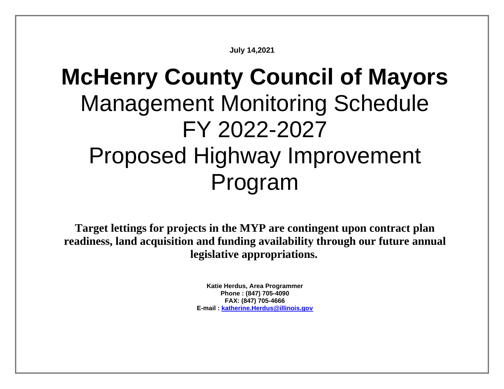**July 14,2021**

# **McHenry County Council of Mayors** Management Monitoring Schedule FY 2022-2027 Proposed Highway Improvement Program

**Target lettings for projects in the MYP are contingent upon contract plan readiness, land acquisition and funding availability through our future annual legislative appropriations.**

> **Katie Herdus, Area Programmer Phone : (847) 705-4090 FAX: (847) 705-4666 E-mail : [katherine.Herdus@illinois.gov](mailto:katherine.Herdus@illinois.gov)**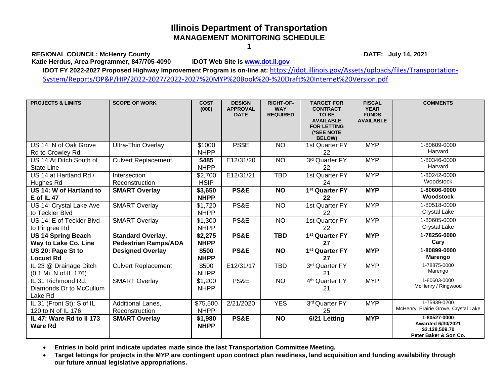REGIONAL COUNCIL: McHenry County<br>
Katie Herdus, Area Programmer, 847/705-4090 **DATE:** July 14, 2021 Katie Herdus, Area Programmer, 847/705-4090

**IDOT FY 2022-2027 Proposed Highway Improvement Program is on-line at:** [https://idot.illinois.gov/Assets/uploads/files/Transportation-](https://idot.illinois.gov/Assets/uploads/files/Transportation-System/Reports/OP&P/HIP/2022-2027/2022-2027%20MYP%20Book%20-%20Draft%20Internet%20Version.pdf)

[System/Reports/OP&P/HIP/2022-2027/2022-2027%20MYP%20Book%20-%20Draft%20Internet%20Version.pdf](https://idot.illinois.gov/Assets/uploads/files/Transportation-System/Reports/OP&P/HIP/2022-2027/2022-2027%20MYP%20Book%20-%20Draft%20Internet%20Version.pdf)

| <b>PROJECTS &amp; LIMITS</b>                             | <b>SCOPE OF WORK</b>                                    | <b>COST</b><br>(000)    | <b>DESIGN</b><br><b>APPROVAL</b><br><b>DATE</b> | <b>RIGHT-OF-</b><br><b>WAY</b><br><b>REQUIRED</b> | <b>TARGET FOR</b><br><b>CONTRACT</b><br>TO BE<br><b>AVAILABLE</b><br><b>FOR LETTING</b><br>(*SEE NOTE<br><b>BELOW)</b> | <b>FISCAL</b><br><b>YEAR</b><br><b>FUNDS</b><br><b>AVAILABLE</b> | <b>COMMENTS</b>                                                                     |
|----------------------------------------------------------|---------------------------------------------------------|-------------------------|-------------------------------------------------|---------------------------------------------------|------------------------------------------------------------------------------------------------------------------------|------------------------------------------------------------------|-------------------------------------------------------------------------------------|
| US 14: N of Oak Grove<br>Rd to Crowley Rd                | <b>Ultra-Thin Overlay</b>                               | \$1000<br><b>NHPP</b>   | PS\$E                                           | <b>NO</b>                                         | 1st Quarter FY<br>22                                                                                                   | <b>MYP</b>                                                       | 1-80609-0000<br>Harvard                                                             |
| US 14 At Ditch South of<br><b>State Line</b>             | <b>Culvert Replacement</b>                              | \$485<br><b>NHPP</b>    | E12/31/20                                       | <b>NO</b>                                         | 3rd Quarter FY<br>22                                                                                                   | <b>MYP</b>                                                       | 1-80346-0000<br>Harvard                                                             |
| US 14 at Hartland Rd /<br>Hughes Rd                      | Intersection<br>Reconstruction                          | \$2,700<br><b>HSIP</b>  | E12/31/21                                       | <b>TBD</b>                                        | 1st Quarter FY<br>24                                                                                                   | <b>MYP</b>                                                       | 1-80242-0000<br>Woodstock                                                           |
| US 14: W of Hartland to<br>$E$ of IL 47                  | <b>SMART Overlay</b>                                    | \$3,650<br><b>NHPP</b>  | PS&E                                            | <b>NO</b>                                         | 1 <sup>st</sup> Quarter FY<br>22                                                                                       | <b>MYP</b>                                                       | 1-80606-0000<br>Woodstock                                                           |
| US 14: Crystal Lake Ave<br>to Teckler Blvd               | <b>SMART Overlay</b>                                    | \$1,720<br><b>NHPP</b>  | PS&E                                            | <b>NO</b>                                         | 1st Quarter FY<br>22                                                                                                   | <b>MYP</b>                                                       | 1-80518-0000<br>Crystal Lake                                                        |
| US 14: E of Teckler Blvd<br>to Pingree Rd                | <b>SMART Overlay</b>                                    | \$1,300<br><b>NHPP</b>  | PS&E                                            | <b>NO</b>                                         | 1st Quarter FY<br>22                                                                                                   | <b>MYP</b>                                                       | 1-80605-0000<br><b>Crystal Lake</b>                                                 |
| <b>US 14 Spring Beach</b><br>Way to Lake Co. Line        | <b>Standard Overlay,</b><br><b>Pedestrian Ramps/ADA</b> | \$2,275<br><b>NHPP</b>  | PS&E                                            | <b>TBD</b>                                        | 1 <sup>st</sup> Quarter FY<br>27                                                                                       | <b>MYP</b>                                                       | 1-78256-0000<br>Cary                                                                |
| US 20: Page St to<br><b>Locust Rd</b>                    | <b>Designed Overlay</b>                                 | \$500<br><b>NHPP</b>    | PS&E                                            | <b>NO</b>                                         | 1 <sup>st</sup> Quarter FY<br>27                                                                                       | <b>MYP</b>                                                       | 1-80899-0000<br>Marengo                                                             |
| IL 23 @ Drainage Ditch<br>(0.1 Mi. N of IL 176)          | <b>Culvert Replacement</b>                              | \$500<br><b>NHPP</b>    | E12/31/17                                       | <b>TBD</b>                                        | 3rd Quarter FY<br>21                                                                                                   | <b>MYP</b>                                                       | 1-78875-0000<br>Marengo                                                             |
| IL 31 Richmond Rd:<br>Diamonds Dr to McCullum<br>Lake Rd | <b>SMART Overlay</b>                                    | \$1,200<br><b>NHPP</b>  | PS&E                                            | <b>NO</b>                                         | 4 <sup>th</sup> Quarter FY<br>21                                                                                       | <b>MYP</b>                                                       | 1-80603-0000<br>McHenry / Ringwood                                                  |
| IL 31 (Front St): S of IL<br>120 to N of IL 176          | Additional Lanes,<br>Reconstruction                     | \$75,500<br><b>NHPP</b> | 2/21/2020                                       | <b>YES</b>                                        | 3rd Quarter FY<br>25                                                                                                   | <b>MYP</b>                                                       | 1-75939-0200<br>McHenry, Prairie Grove, Crystal Lake                                |
| IL 47: Ware Rd to II 173<br><b>Ware Rd</b>               | <b>SMART Overlay</b>                                    | \$1,980<br><b>NHPP</b>  | PS&E                                            | <b>NO</b>                                         | 6/21 Letting                                                                                                           | <b>MYP</b>                                                       | 1-80527-0000<br><b>Awarded 6/30/2021</b><br>\$2.128,509.70<br>Peter Baker & Son Co. |

• **Entries in bold print indicate updates made since the last Transportation Committee Meeting.**

• **Target lettings for projects in the MYP are contingent upon contract plan readiness, land acquisition and funding availability through our future annual legislative appropriations.**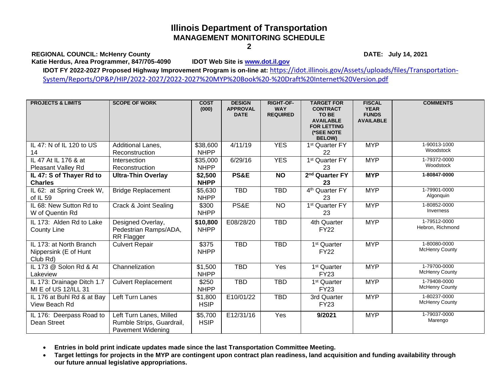REGIONAL COUNCIL: McHenry County<br>
Katie Herdus, Area Programmer, 847/705-4090 **DATE:** July 14, 2021 Katie Herdus, Area Programmer, 847/705-4090

**IDOT FY 2022-2027 Proposed Highway Improvement Program is on-line at:** [https://idot.illinois.gov/Assets/uploads/files/Transportation-](https://idot.illinois.gov/Assets/uploads/files/Transportation-System/Reports/OP&P/HIP/2022-2027/2022-2027%20MYP%20Book%20-%20Draft%20Internet%20Version.pdf)[System/Reports/OP&P/HIP/2022-2027/2022-2027%20MYP%20Book%20-%20Draft%20Internet%20Version.pdf](https://idot.illinois.gov/Assets/uploads/files/Transportation-System/Reports/OP&P/HIP/2022-2027/2022-2027%20MYP%20Book%20-%20Draft%20Internet%20Version.pdf)

| <b>PROJECTS &amp; LIMITS</b>                                 | <b>SCOPE OF WORK</b>                                                      | <b>COST</b><br>(000)    | <b>DESIGN</b><br><b>APPROVAL</b><br><b>DATE</b> | <b>RIGHT-OF-</b><br><b>WAY</b><br><b>REQUIRED</b> | <b>TARGET FOR</b><br><b>CONTRACT</b><br>TO BE<br><b>AVAILABLE</b><br><b>FOR LETTING</b><br>(*SEE NOTE<br><b>BELOW)</b> | <b>FISCAL</b><br><b>YEAR</b><br><b>FUNDS</b><br><b>AVAILABLE</b> | <b>COMMENTS</b>                       |
|--------------------------------------------------------------|---------------------------------------------------------------------------|-------------------------|-------------------------------------------------|---------------------------------------------------|------------------------------------------------------------------------------------------------------------------------|------------------------------------------------------------------|---------------------------------------|
| IL 47: N of IL 120 to US                                     | Additional Lanes,                                                         | \$38,600                | 4/11/19                                         | <b>YES</b>                                        | 1 <sup>st</sup> Quarter FY                                                                                             | <b>MYP</b>                                                       | 1-90013-1000<br>Woodstock             |
| 14                                                           | Reconstruction                                                            | <b>NHPP</b>             |                                                 |                                                   | 22                                                                                                                     |                                                                  |                                       |
| IL 47 At IL 176 & at<br>Pleasant Valley Rd                   | Intersection<br>Reconstruction                                            | \$35,000<br><b>NHPP</b> | 6/29/16                                         | <b>YES</b>                                        | 1 <sup>st</sup> Quarter FY<br>23                                                                                       | <b>MYP</b>                                                       | 1-79372-0000<br>Woodstock             |
| IL 47: S of Thayer Rd to<br><b>Charles</b>                   | <b>Ultra-Thin Overlay</b>                                                 | \$2,500<br><b>NHPP</b>  | PS&E                                            | <b>NO</b>                                         | 2 <sup>nd</sup> Quarter FY<br>23                                                                                       | <b>MYP</b>                                                       | 1-80847-0000                          |
| IL 62: at Spring Creek W,<br>of IL 59                        | <b>Bridge Replacement</b>                                                 | \$5,630<br><b>NHPP</b>  | <b>TBD</b>                                      | <b>TBD</b>                                        | 4 <sup>th</sup> Quarter FY<br>23                                                                                       | <b>MYP</b>                                                       | 1-79901-0000<br>Algonquin             |
| IL 68: New Sutton Rd to<br>W of Quentin Rd                   | Crack & Joint Sealing                                                     | \$300<br><b>NHPP</b>    | PS&E                                            | <b>NO</b>                                         | 1 <sup>st</sup> Quarter FY<br>23                                                                                       | <b>MYP</b>                                                       | 1-80852-0000<br>Inverness             |
| IL 173: Alden Rd to Lake<br><b>County Line</b>               | Designed Overlay,<br>Pedestrian Ramps/ADA,<br>RR Flagger                  | \$10,800<br><b>NHPP</b> | E08/28/20                                       | <b>TBD</b>                                        | 4th Quarter<br><b>FY22</b>                                                                                             | <b>MYP</b>                                                       | 1-79512-0000<br>Hebron, Richmond      |
| IL 173: at North Branch<br>Nippersink (E of Hunt<br>Club Rd) | <b>Culvert Repair</b>                                                     | \$375<br><b>NHPP</b>    | <b>TBD</b>                                      | <b>TBD</b>                                        | 1 <sup>st</sup> Quarter<br><b>FY22</b>                                                                                 | <b>MYP</b>                                                       | 1-80080-0000<br><b>McHenry County</b> |
| IL 173 @ Solon Rd & At<br>Lakeview                           | Channelization                                                            | \$1,500<br><b>NHPP</b>  | <b>TBD</b>                                      | Yes                                               | 1 <sup>st</sup> Quarter<br><b>FY23</b>                                                                                 | <b>MYP</b>                                                       | 1-79700-0000<br><b>McHenry County</b> |
| IL 173: Drainage Ditch 1.7<br>MI E of US 12/ILL 31           | <b>Culvert Replacement</b>                                                | \$250<br><b>NHPP</b>    | <b>TBD</b>                                      | <b>TBD</b>                                        | 1 <sup>st</sup> Quarter<br><b>FY23</b>                                                                                 | <b>MYP</b>                                                       | 1-79408-0000<br><b>McHenry County</b> |
| IL 176 at Buhl Rd & at Bay<br>View Beach Rd                  | Left Turn Lanes                                                           | \$1,800<br><b>HSIP</b>  | E10/01/22                                       | <b>TBD</b>                                        | 3rd Quarter<br><b>FY23</b>                                                                                             | <b>MYP</b>                                                       | 1-80237-0000<br><b>McHenry County</b> |
| IL 176: Deerpass Road to<br>Dean Street                      | Left Turn Lanes, Milled<br>Rumble Strips, Guardrail,<br>Pavement Widening | \$5,700<br><b>HSIP</b>  | E12/31/16                                       | Yes                                               | 9/2021                                                                                                                 | <b>MYP</b>                                                       | 1-79037-0000<br>Marengo               |

• **Entries in bold print indicate updates made since the last Transportation Committee Meeting.**

• **Target lettings for projects in the MYP are contingent upon contract plan readiness, land acquisition and funding availability through our future annual legislative appropriations.**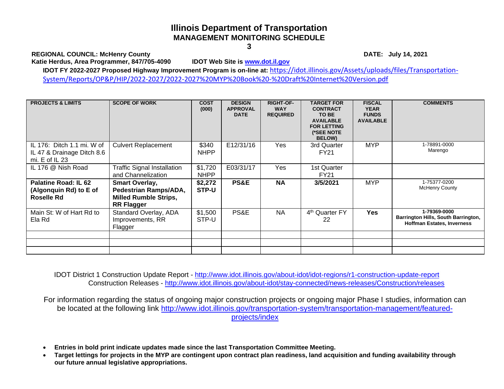**REGIONAL COUNCIL: McHenry County DATE: July 14, 2021**

**Katie Herdus, Area Programmer, 847/705-4090 IDOT Web Site is [www.dot.il.gov](http://www.dot.il.gov/)**

**IDOT FY 2022-2027 Proposed Highway Improvement Program is on-line at:** [https://idot.illinois.gov/Assets/uploads/files/Transportation-](https://idot.illinois.gov/Assets/uploads/files/Transportation-System/Reports/OP&P/HIP/2022-2027/2022-2027%20MYP%20Book%20-%20Draft%20Internet%20Version.pdf)[System/Reports/OP&P/HIP/2022-2027/2022-2027%20MYP%20Book%20-%20Draft%20Internet%20Version.pdf](https://idot.illinois.gov/Assets/uploads/files/Transportation-System/Reports/OP&P/HIP/2022-2027/2022-2027%20MYP%20Book%20-%20Draft%20Internet%20Version.pdf)

| <b>PROJECTS &amp; LIMITS</b>                                                   | <b>SCOPE OF WORK</b>                                                                                | <b>COST</b><br>(000)   | <b>DESIGN</b><br><b>APPROVAL</b><br><b>DATE</b> | <b>RIGHT-OF-</b><br><b>WAY</b><br><b>REQUIRED</b> | <b>TARGET FOR</b><br><b>CONTRACT</b><br>TO BE<br><b>AVAILABLE</b><br><b>FOR LETTING</b><br>(*SEE NOTE<br><b>BELOW)</b> | <b>FISCAL</b><br><b>YEAR</b><br><b>FUNDS</b><br><b>AVAILABLE</b> | <b>COMMENTS</b>                                                                          |
|--------------------------------------------------------------------------------|-----------------------------------------------------------------------------------------------------|------------------------|-------------------------------------------------|---------------------------------------------------|------------------------------------------------------------------------------------------------------------------------|------------------------------------------------------------------|------------------------------------------------------------------------------------------|
| IL 176: Ditch 1.1 mi. W of<br>IL 47 & Drainage Ditch 8.6<br>mi. $E$ of $IL$ 23 | <b>Culvert Replacement</b>                                                                          | \$340<br><b>NHPP</b>   | E12/31/16                                       | Yes                                               | 3rd Quarter<br>FY21                                                                                                    | <b>MYP</b>                                                       | 1-78891-0000<br>Marengo                                                                  |
| IL 176 @ Nish Road                                                             | <b>Traffic Signal Installation</b><br>and Channelization                                            | \$1,720<br><b>NHPP</b> | E03/31/17                                       | Yes                                               | 1st Quarter<br><b>FY21</b>                                                                                             |                                                                  |                                                                                          |
| Palatine Road: IL 62<br>(Algonquin Rd) to E of<br><b>Roselle Rd</b>            | <b>Smart Overlay,</b><br>Pedestrian Ramps/ADA,<br><b>Milled Rumble Strips,</b><br><b>RR Flagger</b> | \$2,272<br>STP-U       | <b>PS&amp;E</b>                                 | <b>NA</b>                                         | 3/5/2021                                                                                                               | <b>MYP</b>                                                       | 1-75377-0200<br><b>McHenry County</b>                                                    |
| Main St: W of Hart Rd to<br>Ela Rd                                             | Standard Overlay, ADA<br>Improvements, RR<br>Flagger                                                | \$1,500<br>STP-U       | PS&E                                            | <b>NA</b>                                         | 4 <sup>th</sup> Quarter FY<br>22                                                                                       | <b>Yes</b>                                                       | 1-79369-0000<br>Barrington Hills, South Barrington,<br><b>Hoffman Estates, Inverness</b> |
|                                                                                |                                                                                                     |                        |                                                 |                                                   |                                                                                                                        |                                                                  |                                                                                          |

 IDOT District 1 Construction Update Report - <http://www.idot.illinois.gov/about-idot/idot-regions/r1-construction-update-report> Construction Releases - <http://www.idot.illinois.gov/about-idot/stay-connected/news-releases/Construction/releases>

For information regarding the status of ongoing major construction projects or ongoing major Phase I studies, information can be located at the following link [http://www.idot.illinois.gov/transportation-system/transportation-management/featured](http://www.idot.illinois.gov/transportation-system/transportation-management/featured-projects/index)[projects/index](http://www.idot.illinois.gov/transportation-system/transportation-management/featured-projects/index)

- **Entries in bold print indicate updates made since the last Transportation Committee Meeting.**
- **Target lettings for projects in the MYP are contingent upon contract plan readiness, land acquisition and funding availability through our future annual legislative appropriations.**